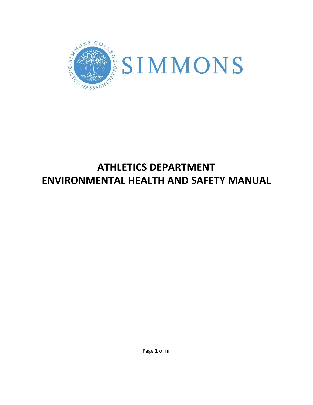

# **ATHLETICS DEPARTMENT ENVIRONMENTAL HEALTH AND SAFETY MANUAL**

Page **1** of **iii**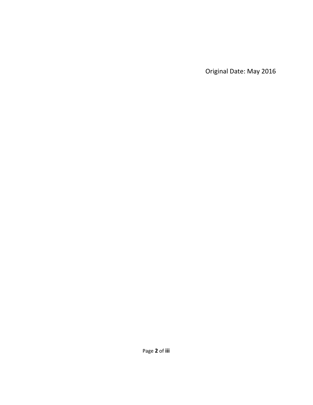Original Date: May 2016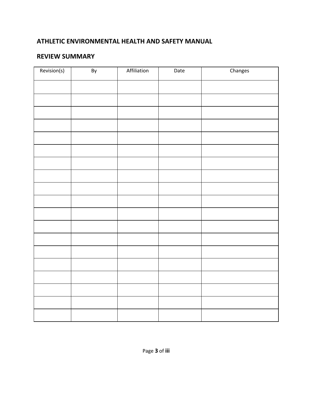### **ATHLETIC ENVIRONMENTAL HEALTH AND SAFETY MANUAL**

### **REVIEW SUMMARY**

| Revision(s) | By | Affiliation | Date | Changes |
|-------------|----|-------------|------|---------|
|             |    |             |      |         |
|             |    |             |      |         |
|             |    |             |      |         |
|             |    |             |      |         |
|             |    |             |      |         |
|             |    |             |      |         |
|             |    |             |      |         |
|             |    |             |      |         |
|             |    |             |      |         |
|             |    |             |      |         |
|             |    |             |      |         |
|             |    |             |      |         |
|             |    |             |      |         |
|             |    |             |      |         |
|             |    |             |      |         |
|             |    |             |      |         |
|             |    |             |      |         |
|             |    |             |      |         |
|             |    |             |      |         |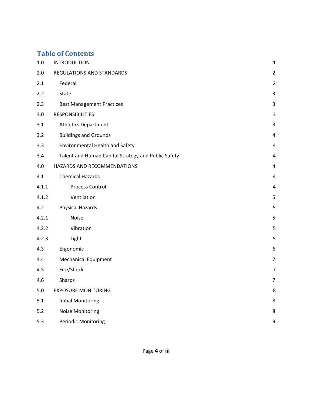# **Table of Contents**

| $1.0\,$ | <b>INTRODUCTION</b>                                 | $\mathbf 1$    |
|---------|-----------------------------------------------------|----------------|
| 2.0     | REGULATIONS AND STANDARDS                           | $\overline{2}$ |
| 2.1     | Federal                                             | $\overline{2}$ |
| 2.2     | State                                               | 3              |
| 2.3     | <b>Best Management Practices</b>                    | 3              |
| 3.0     | <b>RESPONSIBILITIES</b>                             | 3              |
| 3.1     | <b>Athletics Department</b>                         | 3              |
| 3.2     | <b>Buildings and Grounds</b>                        | $\overline{4}$ |
| 3.3     | <b>Environmental Health and Safety</b>              | 4              |
| 3.4     | Talent and Human Capital Strategy and Public Safety | $\overline{4}$ |
| 4.0     | HAZARDS AND RECOMMENDATIONS                         | $\overline{4}$ |
| 4.1     | <b>Chemical Hazards</b>                             | 4              |
| 4.1.1   | Process Control                                     | 4              |
| 4.1.2   | Ventilation                                         | 5              |
| 4.2     | <b>Physical Hazards</b>                             | 5              |
| 4.2.1   | Noise                                               | 5              |
| 4.2.2   | Vibration                                           | 5              |
| 4.2.3   | Light                                               | 5              |
| 4.3     | Ergonomic                                           | 6              |
| 4.4     | <b>Mechanical Equipment</b>                         | $\overline{7}$ |
| 4.5     | Fire/Shock                                          | 7              |
| 4.6     | Sharps                                              | $\overline{7}$ |
| 5.0     | <b>EXPOSURE MONITORING</b>                          | 8              |
| 5.1     | <b>Initial Monitoring</b>                           | 8              |
| 5.2     | <b>Noise Monitoring</b>                             | 8              |
| 5.3     | <b>Periodic Monitoring</b>                          | 9              |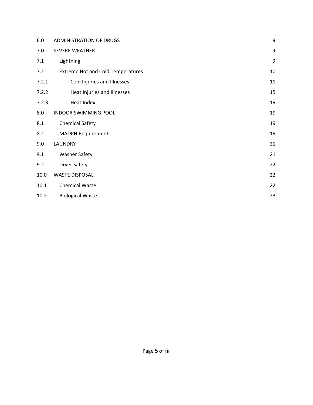| 6.0   | <b>ADMINISTRATION OF DRUGS</b>           | 9  |
|-------|------------------------------------------|----|
| 7.0   | <b>SEVERE WEATHER</b>                    | 9  |
| 7.1   | Lightning                                | 9  |
| 7.2   | <b>Extreme Hot and Cold Temperatures</b> | 10 |
| 7.2.1 | Cold Injuries and Illnesses              | 11 |
| 7.2.2 | Heat Injuries and Illnesses              | 15 |
| 7.2.3 | Heat Index                               | 19 |
| 8.0   | <b>INDOOR SWIMMING POOL</b>              | 19 |
| 8.1   | <b>Chemical Safety</b>                   | 19 |
| 8.2   | <b>MADPH Requirements</b>                | 19 |
| 9.0   | <b>LAUNDRY</b>                           | 21 |
| 9.1   | <b>Washer Safety</b>                     | 21 |
| 9.2   | <b>Dryer Safety</b>                      | 22 |
| 10.0  | <b>WASTE DISPOSAL</b>                    | 22 |
| 10.1  | <b>Chemical Waste</b>                    | 22 |
| 10.2  | <b>Biological Waste</b>                  | 23 |
|       |                                          |    |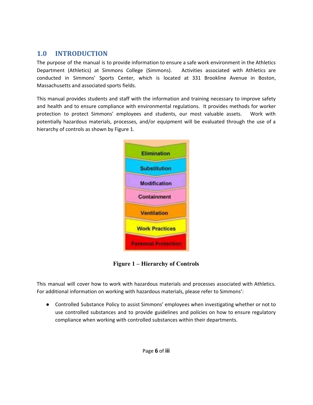### <span id="page-5-0"></span>**1.0 INTRODUCTION**

The purpose of the manual is to provide information to ensure a safe work environment in the Athletics Department (Athletics) at Simmons College (Simmons). Activities associated with Athletics are conducted in Simmons' Sports Center, which is located at 331 Brookline Avenue in Boston, Massachusetts and associated sports fields.

This manual provides students and staff with the information and training necessary to improve safety and health and to ensure compliance with environmental regulations. It provides methods for worker protection to protect Simmons' employees and students, our most valuable assets. Work with potentially hazardous materials, processes, and/or equipment will be evaluated through the use of a hierarchy of controls as shown by Figure 1.



**Figure 1 – Hierarchy of Controls**

This manual will cover how to work with hazardous materials and processes associated with Athletics. For additional information on working with hazardous materials, please refer to Simmons':

● Controlled Substance Policy to assist Simmons' employees when investigating whether or not to use controlled substances and to provide guidelines and policies on how to ensure regulatory compliance when working with controlled substances within their departments.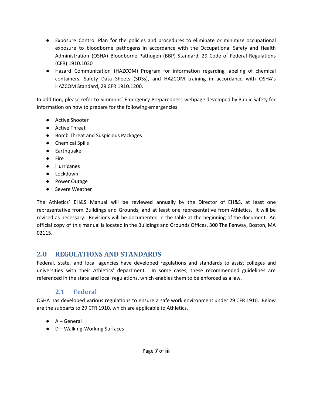- Exposure Control Plan for the policies and procedures to eliminate or minimize occupational exposure to bloodborne pathogens in accordance with the Occupational Safety and Health Administration (OSHA) Bloodborne Pathogen (BBP) Standard, 29 Code of Federal Regulations (CFR) 1910.1030
- Hazard Communication (HAZCOM) Program for information regarding labeling of chemical containers, Safety Data Sheets (SDSs), and HAZCOM training in accordance with OSHA's HAZCOM Standard, 29 CFR 1910.1200.

In addition, please refer to Simmons' Emergency Preparedness webpage developed by Public Safety for information on how to prepare for the following emergencies:

- Active Shooter
- Active Threat
- Bomb Threat and Suspicious Packages
- Chemical Spills
- Earthquake
- Fire
- Hurricanes
- Lockdown
- Power Outage
- Severe Weather

The Athletics' EH&S Manual will be reviewed annually by the Director of EH&S, at least one representative from Buildings and Grounds, and at least one representative from Athletics. It will be revised as necessary. Revisions will be documented in the table at the beginning of the document. An official copy of this manual is located in the Buildings and Grounds Offices, 300 The Fenway, Boston, MA 02115.

### <span id="page-6-0"></span>**2.0 REGULATIONS AND STANDARDS**

Federal, state, and local agencies have developed regulations and standards to assist colleges and universities with their Athletics' department. In some cases, these recommended guidelines are referenced in the state and local regulations, which enables them to be enforced as a law.

### **2.1 Federal**

<span id="page-6-1"></span>OSHA has developed various regulations to ensure a safe work environment under 29 CFR 1910. Below are the subparts to 29 CFR 1910, which are applicable to Athletics.

- A General
- D Walking-Working Surfaces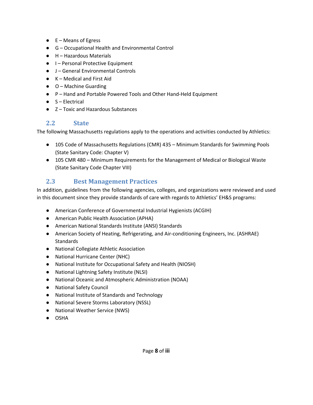- $\bullet$  E Means of Egress
- G Occupational Health and Environmental Control
- H Hazardous Materials
- I Personal Protective Equipment
- J General Environmental Controls
- K Medical and First Aid
- O Machine Guarding
- P Hand and Portable Powered Tools and Other Hand-Held Equipment
- $\bullet$  S Electrical
- **Z** Toxic and Hazardous Substances

### <span id="page-7-0"></span>**2.2 State**

The following Massachusetts regulations apply to the operations and activities conducted by Athletics:

- 105 Code of Massachusetts Regulations (CMR) 435 Minimum Standards for Swimming Pools (State Sanitary Code: Chapter V)
- 105 CMR 480 Minimum Requirements for the Management of Medical or Biological Waste (State Sanitary Code Chapter VIII)

### <span id="page-7-1"></span>**2.3 Best Management Practices**

In addition, guidelines from the following agencies, colleges, and organizations were reviewed and used in this document since they provide standards of care with regards to Athletics' EH&S programs:

- American Conference of Governmental Industrial Hygienists (ACGIH)
- American Public Health Association (APHA)
- American National Standards Institute (ANSI) Standards
- American Society of Heating, Refrigerating, and Air-conditioning Engineers, Inc. (ASHRAE) **Standards**
- National Collegiate Athletic Association
- National Hurricane Center (NHC)
- National Institute for Occupational Safety and Health (NIOSH)
- National Lightning Safety Institute (NLSI)
- National Oceanic and Atmospheric Administration (NOAA)
- National Safety Council
- National Institute of Standards and Technology
- National Severe Storms Laboratory (NSSL)
- National Weather Service (NWS)
- OSHA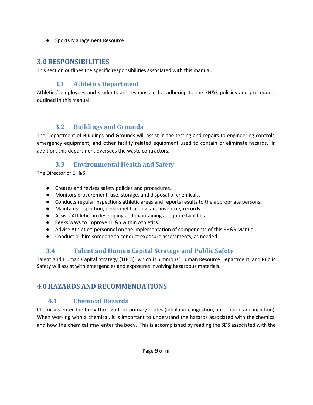● Sports Management Resource

### <span id="page-8-0"></span>**3.0RESPONSIBILITIES**

This section outlines the specific responsibilities associated with this manual.

### **3.1 Athletics Department**

<span id="page-8-1"></span>Athletics' employees and students are responsible for adhering to the EH&S policies and procedures outlined in this manual.

### **3.2 Buildings and Grounds**

<span id="page-8-2"></span>The Department of Buildings and Grounds will assist in the testing and repairs to engineering controls, emergency equipment, and other facility related equipment used to contain or eliminate hazards. In addition, this department oversees the waste contractors.

### **3.3 Environmental Health and Safety**

<span id="page-8-3"></span>The Director of EH&S:

- Creates and revises safety policies and procedures.
- Monitors procurement, use, storage, and disposal of chemicals.
- Conducts regular inspections athletic areas and reports results to the appropriate persons.
- Maintains inspection, personnel training, and inventory records.
- Assists Athletics in developing and maintaining adequate facilities.
- Seeks ways to improve EH&S within Athletics.
- Advise Athletics' personnel on the implementation of components of this EH&S Manual.
- Conduct or hire someone to conduct exposure assessments, as needed.

# <span id="page-8-4"></span>**3.4 Talent and Human Capital Strategy and Public Safety**

Talent and Human Capital Strategy (THCS), which is Simmons' Human Resource Department, and Public Safety will assist with emergencies and exposures involving hazardous materials.

# <span id="page-8-6"></span><span id="page-8-5"></span>**4.0HAZARDS AND RECOMMENDATIONS**

### **4.1 Chemical Hazards**

Chemicals enter the body through four primary routes (inhalation, ingestion, absorption, and injection). When working with a chemical, it is important to understand the hazards associated with the chemical and how the chemical may enter the body. This is accomplished by reading the SDS associated with the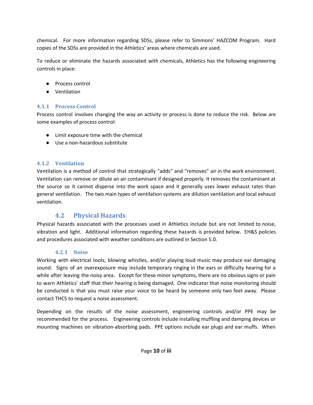chemical. For more information regarding SDSs, please refer to Simmons' HAZCOM Program. Hard copies of the SDSs are provided in the Athletics' areas where chemicals are used.

To reduce or eliminate the hazards associated with chemicals, Athletics has the following engineering controls in place:

- Process control
- Ventilation

### <span id="page-9-0"></span>**4.1.1 Process Control**

Process control involves changing the way an activity or process is done to reduce the risk. Below are some examples of process control:

- Limit exposure time with the chemical
- Use a non-hazardous substitute

#### <span id="page-9-1"></span>**4.1.2 Ventilation**

Ventilation is a method of control that strategically "adds" and "removes" air in the work environment. Ventilation can remove or dilute an air contaminant if designed properly. It removes the contaminant at the source so it cannot disperse into the work space and it generally uses lower exhaust rates than general ventilation. The two main types of ventilation systems are dilution ventilation and local exhaust ventilation.

### **4.2 Physical Hazards**

<span id="page-9-2"></span>Physical hazards associated with the processes used in Athletics include but are not limited to noise, vibration and light. Additional information regarding these hazards is provided below. EH&S policies and procedures associated with weather conditions are outlined in Section 5.0.

#### **4.2.1 Noise**

<span id="page-9-3"></span>Working with electrical tools, blowing whistles, and/or playing loud music may produce ear damaging sound. Signs of an overexposure may include temporary ringing in the ears or difficulty hearing for a while after leaving the noisy area. Except for these minor symptoms, there are no obvious signs or pain to warn Athletics' staff that their hearing is being damaged. One indicator that noise monitoring should be conducted is that you must raise your voice to be heard by someone only two feet away. Please contact THCS to request a noise assessment.

Depending on the results of the noise assessment, engineering controls and/or PPE may be recommended for the process. Engineering controls include installing muffling and damping devices or mounting machines on vibration-absorbing pads. PPE options include ear plugs and ear muffs. When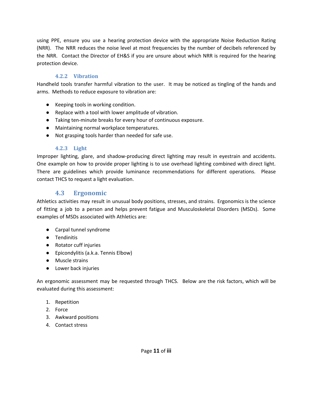using PPE, ensure you use a hearing protection device with the appropriate Noise Reduction Rating (NRR). The NRR reduces the noise level at most frequencies by the number of decibels referenced by the NRR. Contact the Director of EH&S if you are unsure about which NRR is required for the hearing protection device.

#### **4.2.2 Vibration**

<span id="page-10-0"></span>Handheld tools transfer harmful vibration to the user. It may be noticed as tingling of the hands and arms. Methods to reduce exposure to vibration are:

- Keeping tools in working condition.
- Replace with a tool with lower amplitude of vibration.
- Taking ten-minute breaks for every hour of continuous exposure.
- Maintaining normal workplace temperatures.
- Not grasping tools harder than needed for safe use.

#### **4.2.3 Light**

<span id="page-10-1"></span>Improper lighting, glare, and shadow-producing direct lighting may result in eyestrain and accidents. One example on how to provide proper lighting is to use overhead lighting combined with direct light. There are guidelines which provide luminance recommendations for different operations. Please contact THCS to request a light evaluation.

### **4.3 Ergonomic**

<span id="page-10-2"></span>Athletics activities may result in unusual body positions, stresses, and strains. Ergonomics is the science of fitting a job to a person and helps prevent fatigue and Musculoskeletal Disorders (MSDs). Some examples of MSDs associated with Athletics are:

- Carpal tunnel syndrome
- Tendinitis
- Rotator cuff injuries
- Epicondylitis (a.k.a. Tennis Elbow)
- Muscle strains
- Lower back injuries

An ergonomic assessment may be requested through THCS. Below are the risk factors, which will be evaluated during this assessment:

- 1. Repetition
- 2. Force
- 3. Awkward positions
- 4. Contact stress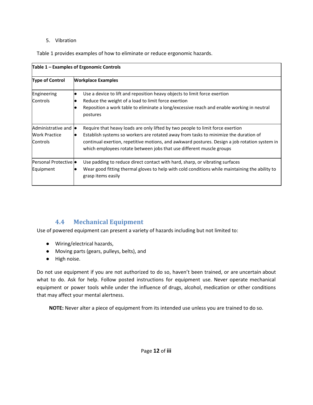#### 5. Vibration

Table 1 provides examples of how to eliminate or reduce ergonomic hazards.

| Table 1 – Examples of Ergonomic Controls                                |                                                                                                                                                                                                                                                                                                                                                 |  |  |  |
|-------------------------------------------------------------------------|-------------------------------------------------------------------------------------------------------------------------------------------------------------------------------------------------------------------------------------------------------------------------------------------------------------------------------------------------|--|--|--|
| <b>Type of Control</b>                                                  | <b>Workplace Examples</b>                                                                                                                                                                                                                                                                                                                       |  |  |  |
| Engineering<br>Controls                                                 | Use a device to lift and reposition heavy objects to limit force exertion<br>$\bullet$<br>Reduce the weight of a load to limit force exertion<br>Reposition a work table to eliminate a long/excessive reach and enable working in neutral<br>postures                                                                                          |  |  |  |
| Administrative and $\bullet$<br><b>Work Practice</b><br><b>Controls</b> | Require that heavy loads are only lifted by two people to limit force exertion<br>Establish systems so workers are rotated away from tasks to minimize the duration of<br>continual exertion, repetitive motions, and awkward postures. Design a job rotation system in<br>which employees rotate between jobs that use different muscle groups |  |  |  |
| Personal Protective $\bullet$<br>Equipment                              | Use padding to reduce direct contact with hard, sharp, or vibrating surfaces<br>Wear good fitting thermal gloves to help with cold conditions while maintaining the ability to<br>grasp items easily                                                                                                                                            |  |  |  |

### **4.4 Mechanical Equipment**

<span id="page-11-0"></span>Use of powered equipment can present a variety of hazards including but not limited to:

- Wiring/electrical hazards,
- Moving parts (gears, pulleys, belts), and
- High noise.

Do not use equipment if you are not authorized to do so, haven't been trained, or are uncertain about what to do. Ask for help. Follow posted instructions for equipment use. Never operate mechanical equipment or power tools while under the influence of drugs, alcohol, medication or other conditions that may affect your mental alertness.

**NOTE:** Never alter a piece of equipment from its intended use unless you are trained to do so.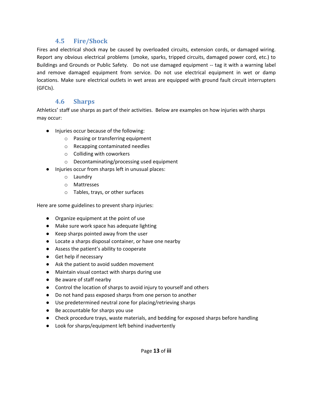### **4.5 Fire/Shock**

<span id="page-12-0"></span>Fires and electrical shock may be caused by overloaded circuits, extension cords, or damaged wiring. Report any obvious electrical problems (smoke, sparks, tripped circuits, damaged power cord, etc.) to Buildings and Grounds or Public Safety. Do not use damaged equipment -- tag it with a warning label and remove damaged equipment from service. Do not use electrical equipment in wet or damp locations. Make sure electrical outlets in wet areas are equipped with ground fault circuit interrupters (GFCIs).

### **4.6 Sharps**

<span id="page-12-1"></span>Athletics' staff use sharps as part of their activities. Below are examples on how injuries with sharps may occur:

- Injuries occur because of the following:
	- o Passing or transferring equipment
	- o Recapping contaminated needles
	- o Colliding with coworkers
	- o Decontaminating/processing used equipment
- Injuries occur from sharps left in unusual places:
	- o Laundry
	- o Mattresses
	- o Tables, trays, or other surfaces

Here are some guidelines to prevent sharp injuries:

- Organize equipment at the point of use
- Make sure work space has adequate lighting
- Keep sharps pointed away from the user
- Locate a sharps disposal container, or have one nearby
- Assess the patient's ability to cooperate
- Get help if necessary
- Ask the patient to avoid sudden movement
- Maintain visual contact with sharps during use
- Be aware of staff nearby
- Control the location of sharps to avoid injury to yourself and others
- Do not hand pass exposed sharps from one person to another
- Use predetermined neutral zone for placing/retrieving sharps
- Be accountable for sharps you use
- Check procedure trays, waste materials, and bedding for exposed sharps before handling
- Look for sharps/equipment left behind inadvertently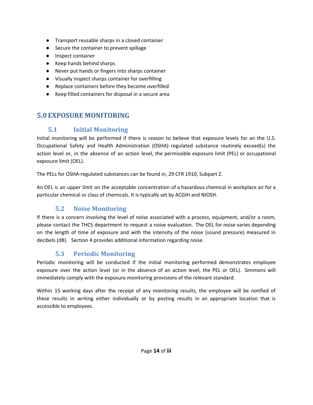- Transport reusable sharps in a closed container
- Secure the container to prevent spillage
- Inspect container
- Keep hands behind sharps
- Never put hands or fingers into sharps container
- Visually inspect sharps container for overfilling
- Replace containers before they become overfilled
- Keep filled containers for disposal in a secure area

### <span id="page-13-1"></span><span id="page-13-0"></span>**5.0EXPOSURE MONITORING**

### **5.1 Initial Monitoring**

Initial monitoring will be performed if there is reason to believe that exposure levels for an the U.S. Occupational Safety and Health Administration (OSHA) regulated substance routinely exceed(s) the action level or, in the absence of an action level, the permissible exposure limit (PEL) or occupational exposure limit (OEL).

The PELs for OSHA-regulated substances can be found in, 29 CFR 1910, Subpart Z.

An OEL is an upper limit on the acceptable concentration of a hazardous chemical in workplace air for a particular chemical or class of chemicals. It is typically set by ACGIH and NIOSH.

### **5.2 Noise Monitoring**

<span id="page-13-2"></span>If there is a concern involving the level of noise associated with a process, equipment, and/or a room, please contact the THCS department to request a noise evaluation. The OEL for noise varies depending on the length of time of exposure and with the intensity of the noise (sound pressure) measured in decibels (dB). Section 4 provides additional information regarding noise.

### **5.3 Periodic Monitoring**

<span id="page-13-3"></span>Periodic monitoring will be conducted if the initial monitoring performed demonstrates employee exposure over the action level (or in the absence of an action level, the PEL or OEL). Simmons will immediately comply with the exposure monitoring provisions of the relevant standard.

Within 15 working days after the receipt of any monitoring results, the employee will be notified of these results in writing either individually or by posting results in an appropriate location that is accessible to employees.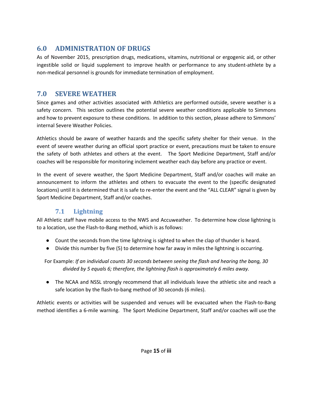# <span id="page-14-0"></span>**6.0 ADMINISTRATION OF DRUGS**

As of November 2015, prescription drugs, medications, vitamins, nutritional or ergogenic aid, or other ingestible solid or liquid supplement to improve health or performance to any student-athlete by a non-medical personnel is grounds for immediate termination of employment.

### <span id="page-14-1"></span>**7.0 SEVERE WEATHER**

Since games and other activities associated with Athletics are performed outside, severe weather is a safety concern. This section outlines the potential severe weather conditions applicable to Simmons and how to prevent exposure to these conditions. In addition to this section, please adhere to Simmons' internal Severe Weather Policies.

Athletics should be aware of weather hazards and the specific safety shelter for their venue. In the event of severe weather during an official sport practice or event, precautions must be taken to ensure the safety of both athletes and others at the event. The Sport Medicine Department, Staff and/or coaches will be responsible for monitoring inclement weather each day before any practice or event.

In the event of severe weather, the Sport Medicine Department, Staff and/or coaches will make an announcement to inform the athletes and others to evacuate the event to the (specific designated locations) until it is determined that it is safe to re-enter the event and the "ALL CLEAR" signal is given by Sport Medicine Department, Staff and/or coaches.

### **7.1 Lightning**

<span id="page-14-2"></span>All Athletic staff have mobile access to the NWS and Accuweather. To determine how close lightning is to a location, use the Flash-to-Bang method, which is as follows:

- Count the seconds from the time lightning is sighted to when the clap of thunder is heard.
- Divide this number by five (5) to determine how far away in miles the lightning is occurring.

For Example: *If an individual counts 30 seconds between seeing the flash and hearing the bang, 30 divided by 5 equals 6; therefore, the lightning flash is approximately 6 miles away.*

● The NCAA and NSSL strongly recommend that all individuals leave the athletic site and reach a safe location by the flash-to-bang method of 30 seconds (6 miles).

Athletic events or activities will be suspended and venues will be evacuated when the Flash-to-Bang method identifies a 6-mile warning. The Sport Medicine Department, Staff and/or coaches will use the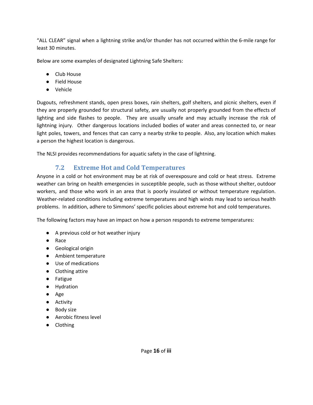"ALL CLEAR" signal when a lightning strike and/or thunder has not occurred within the 6-mile range for least 30 minutes.

Below are some examples of designated Lightning Safe Shelters:

- Club House
- Field House
- Vehicle

Dugouts, refreshment stands, open press boxes, rain shelters, golf shelters, and picnic shelters, even if they are properly grounded for structural safety, are usually not properly grounded from the effects of lighting and side flashes to people. They are usually unsafe and may actually increase the risk of lightning injury. Other dangerous locations included bodies of water and areas connected to, or near light poles, towers, and fences that can carry a nearby strike to people. Also, any location which makes a person the highest location is dangerous.

The NLSI provides recommendations for aquatic safety in the case of lightning.

### **7.2 Extreme Hot and Cold Temperatures**

<span id="page-15-0"></span>Anyone in a cold or hot environment may be at risk of overexposure and cold or heat stress. Extreme weather can bring on health emergencies in susceptible people, such as those without shelter, outdoor workers, and those who work in an area that is poorly insulated or without temperature regulation. Weather-related conditions including extreme temperatures and high winds may lead to serious health problems. In addition, adhere to Simmons' specific policies about extreme hot and cold temperatures.

The following factors may have an impact on how a person responds to extreme temperatures:

- A previous cold or hot weather injury
- Race
- Geological origin
- Ambient temperature
- Use of medications
- Clothing attire
- Fatigue
- Hydration
- Age
- Activity
- Body size
- Aerobic fitness level
- Clothing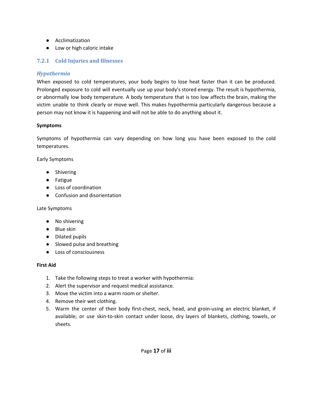- Acclimatization
- Low or high caloric intake

#### <span id="page-16-0"></span>**7.2.1 Cold Injuries and Illnesses**

#### *Hypothermia*

When exposed to cold temperatures, your body begins to lose heat faster than it can be produced. Prolonged exposure to cold will eventually use up your body's stored energy. The result is hypothermia, or abnormally low body temperature. A body temperature that is too low affects the brain, making the victim unable to think clearly or move well. This makes hypothermia particularly dangerous because a person may not know it is happening and will not be able to do anything about it.

#### **Symptoms**

Symptoms of hypothermia can vary depending on how long you have been exposed to the cold temperatures.

Early Symptoms

- Shivering
- Fatigue
- Loss of coordination
- Confusion and disorientation

#### Late Symptoms

- No shivering
- Blue skin
- Dilated pupils
- Slowed pulse and breathing
- Loss of consciousness

#### **First Aid**

- 1. Take the following steps to treat a worker with hypothermia:
- 2. Alert the supervisor and request medical assistance.
- 3. Move the victim into a warm room or shelter.
- 4. Remove their wet clothing.
- 5. Warm the center of their body first-chest, neck, head, and groin-using an electric blanket, if available; or use skin-to-skin contact under loose, dry layers of blankets, clothing, towels, or sheets.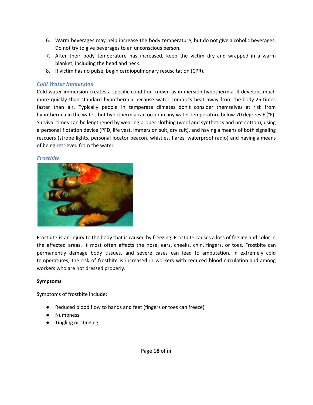- 6. Warm beverages may help increase the body temperature, but do not give alcoholic beverages. Do not try to give beverages to an unconscious person.
- 7. After their body temperature has increased, keep the victim dry and wrapped in a warm blanket, including the head and neck.
- 8. If victim has no pulse, begin cardiopulmonary resuscitation (CPR).

#### *Cold Water Immersion*

Cold water immersion creates a specific condition known as immersion hypothermia. It develops much more quickly than standard hypothermia because water conducts heat away from the body 25 times faster than air. Typically people in temperate climates don't consider themselves at risk from hypothermia in the water, but hypothermia can occur in any water temperature below 70 degrees F (°F). Survival times can be lengthened by wearing proper clothing (wool and synthetics and not cotton), using a personal flotation device (PFD, life vest, immersion suit, dry suit), and having a means of both signaling rescuers (strobe lights, personal locator beacon, whistles, flares, waterproof radio) and having a means of being retrieved from the water.

#### *Frostbite*



Frostbite is an injury to the body that is caused by freezing. Frostbite causes a loss of feeling and color in the affected areas. It most often affects the nose, ears, cheeks, chin, fingers, or toes. Frostbite can permanently damage body tissues, and severe cases can lead to amputation. In extremely cold temperatures, the risk of frostbite is increased in workers with reduced blood circulation and among workers who are not dressed properly.

#### **Symptoms**

Symptoms of frostbite include:

- Reduced blood flow to hands and feet (fingers or toes can freeze)
- Numbness
- Tingling or stinging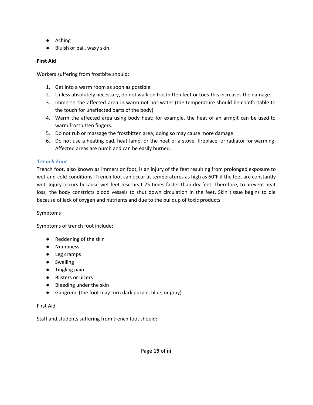- Aching
- Bluish or pail, waxy skin

#### **First Aid**

Workers suffering from frostbite should:

- 1. Get into a warm room as soon as possible.
- 2. Unless absolutely necessary, do not walk on frostbitten feet or toes-this increases the damage.
- 3. Immerse the affected area in warm-not hot-water (the temperature should be comfortable to the touch for unaffected parts of the body).
- 4. Warm the affected area using body heat; for example, the heat of an armpit can be used to warm frostbitten fingers.
- 5. Do not rub or massage the frostbitten area; doing so may cause more damage.
- 6. Do not use a heating pad, heat lamp, or the heat of a stove, fireplace, or radiator for warming. Affected areas are numb and can be easily burned.

#### *Trench Foot*

Trench foot, also known as immersion foot, is an injury of the feet resulting from prolonged exposure to wet and cold conditions. Trench foot can occur at temperatures as high as 60°F if the feet are constantly wet. Injury occurs because wet feet lose heat 25-times faster than dry feet. Therefore, to prevent heat loss, the body constricts blood vessels to shut down circulation in the feet. Skin tissue begins to die because of lack of oxygen and nutrients and due to the buildup of toxic products.

#### Symptoms

Symptoms of trench foot include:

- Reddening of the skin
- Numbness
- Leg cramps
- Swelling
- Tingling pain
- Blisters or ulcers
- Bleeding under the skin
- Gangrene (the foot may turn dark purple, blue, or gray)

#### First Aid

Staff and students suffering from trench foot should: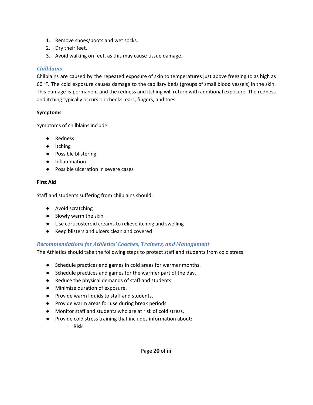- 1. Remove shoes/boots and wet socks.
- 2. Dry their feet.
- 3. Avoid walking on feet, as this may cause tissue damage.

#### *Chilblains*

Chilblains are caused by the repeated exposure of skin to temperatures just above freezing to as high as 60 °F. The cold exposure causes damage to the capillary beds (groups of small blood vessels) in the skin. This damage is permanent and the redness and itching will return with additional exposure. The redness and itching typically occurs on cheeks, ears, fingers, and toes.

#### **Symptoms**

Symptoms of chilblains include:

- Redness
- Itching
- Possible blistering
- Inflammation
- Possible ulceration in severe cases

#### **First Aid**

Staff and students suffering from chilblains should:

- Avoid scratching
- Slowly warm the skin
- Use corticosteroid creams to relieve itching and swelling
- Keep blisters and ulcers clean and covered

#### *Recommendations for Athletics' Coaches, Trainers, and Management*

The Athletics should take the following steps to protect staff and students from cold stress:

- Schedule practices and games in cold areas for warmer months.
- Schedule practices and games for the warmer part of the day.
- Reduce the physical demands of staff and students.
- Minimize duration of exposure.
- Provide warm liquids to staff and students.
- Provide warm areas for use during break periods.
- Monitor staff and students who are at risk of cold stress.
- Provide cold stress training that includes information about:
	- o Risk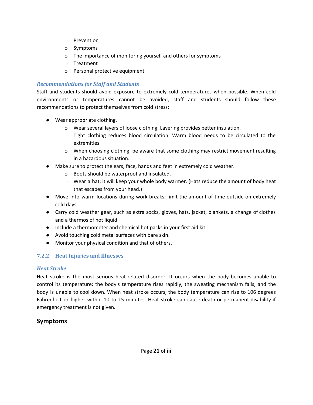- o Prevention
- o Symptoms
- o The importance of monitoring yourself and others for symptoms
- o Treatment
- o Personal protective equipment

#### *Recommendations for Staff and Students*

Staff and students should avoid exposure to extremely cold temperatures when possible. When cold environments or temperatures cannot be avoided, staff and students should follow these recommendations to protect themselves from cold stress:

- Wear appropriate clothing.
	- o Wear several layers of loose clothing. Layering provides better insulation.
	- $\circ$  Tight clothing reduces blood circulation. Warm blood needs to be circulated to the extremities.
	- $\circ$  When choosing clothing, be aware that some clothing may restrict movement resulting in a hazardous situation.
- Make sure to protect the ears, face, hands and feet in extremely cold weather.
	- o Boots should be waterproof and insulated.
	- $\circ$  Wear a hat; it will keep your whole body warmer. (Hats reduce the amount of body heat that escapes from your head.)
- Move into warm locations during work breaks; limit the amount of time outside on extremely cold days.
- Carry cold weather gear, such as extra socks, gloves, hats, jacket, blankets, a change of clothes and a thermos of hot liquid.
- Include a thermometer and chemical hot packs in your first aid kit.
- Avoid touching cold metal surfaces with bare skin.
- Monitor your physical condition and that of others.

### <span id="page-20-0"></span>**7.2.2 Heat Injuries and Illnesses**

#### *Heat Stroke*

Heat stroke is the most serious heat-related disorder. It occurs when the body becomes unable to control its temperature: the body's temperature rises rapidly, the sweating mechanism fails, and the body is unable to cool down. When heat stroke occurs, the body temperature can rise to 106 degrees Fahrenheit or higher within 10 to 15 minutes. Heat stroke can cause death or permanent disability if emergency treatment is not given.

### **Symptoms**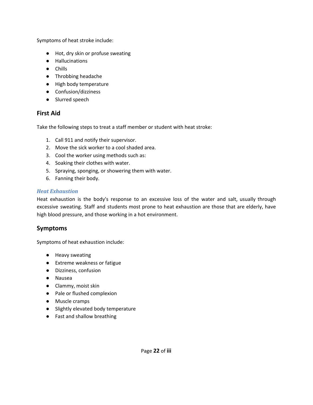Symptoms of heat stroke include:

- Hot, dry skin or profuse sweating
- Hallucinations
- Chills
- Throbbing headache
- High body temperature
- Confusion/dizziness
- Slurred speech

#### **First Aid**

Take the following steps to treat a staff member or student with heat stroke:

- 1. Call 911 and notify their supervisor.
- 2. Move the sick worker to a cool shaded area.
- 3. Cool the worker using methods such as:
- 4. Soaking their clothes with water.
- 5. Spraying, sponging, or showering them with water.
- 6. Fanning their body.

#### *Heat Exhaustion*

Heat exhaustion is the body's response to an excessive loss of the water and salt, usually through excessive sweating. Staff and students most prone to heat exhaustion are those that are elderly, have high blood pressure, and those working in a hot environment.

#### **Symptoms**

Symptoms of heat exhaustion include:

- Heavy sweating
- Extreme weakness or fatigue
- Dizziness, confusion
- Nausea
- Clammy, moist skin
- Pale or flushed complexion
- Muscle cramps
- Slightly elevated body temperature
- Fast and shallow breathing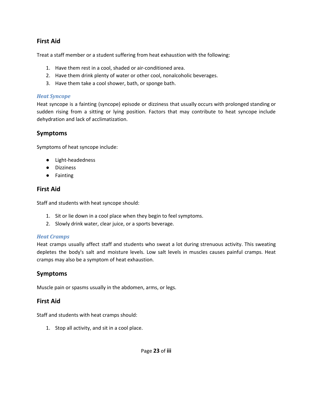### **First Aid**

Treat a staff member or a student suffering from heat exhaustion with the following:

- 1. Have them rest in a cool, shaded or air-conditioned area.
- 2. Have them drink plenty of water or other cool, nonalcoholic beverages.
- 3. Have them take a cool shower, bath, or sponge bath.

#### *Heat Syncope*

Heat syncope is a fainting (syncope) episode or dizziness that usually occurs with prolonged standing or sudden rising from a sitting or lying position. Factors that may contribute to heat syncope include dehydration and lack of acclimatization.

#### **Symptoms**

Symptoms of heat syncope include:

- Light-headedness
- Dizziness
- Fainting

#### **First Aid**

Staff and students with heat syncope should:

- 1. Sit or lie down in a cool place when they begin to feel symptoms.
- 2. Slowly drink water, clear juice, or a sports beverage.

#### *Heat Cramps*

Heat cramps usually affect staff and students who sweat a lot during strenuous activity. This sweating depletes the body's salt and moisture levels. Low salt levels in muscles causes painful cramps. Heat cramps may also be a symptom of heat exhaustion.

### **Symptoms**

Muscle pain or spasms usually in the abdomen, arms, or legs.

#### **First Aid**

Staff and students with heat cramps should:

1. Stop all activity, and sit in a cool place.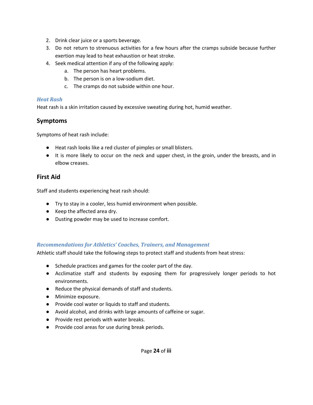- 2. Drink clear juice or a sports beverage.
- 3. Do not return to strenuous activities for a few hours after the cramps subside because further exertion may lead to heat exhaustion or heat stroke.
- 4. Seek medical attention if any of the following apply:
	- a. The person has heart problems.
	- b. The person is on a low-sodium diet.
	- c. The cramps do not subside within one hour.

#### *Heat Rash*

Heat rash is a skin irritation caused by excessive sweating during hot, humid weather.

#### **Symptoms**

Symptoms of heat rash include:

- Heat rash looks like a red cluster of pimples or small blisters.
- It is more likely to occur on the neck and upper chest, in the groin, under the breasts, and in elbow creases.

#### **First Aid**

Staff and students experiencing heat rash should:

- Try to stay in a cooler, less humid environment when possible.
- Keep the affected area dry.
- Dusting powder may be used to increase comfort.

#### *Recommendations for Athletics' Coaches, Trainers, and Management*

Athletic staff should take the following steps to protect staff and students from heat stress:

- Schedule practices and games for the cooler part of the day.
- Acclimatize staff and students by exposing them for progressively longer periods to hot environments.
- Reduce the physical demands of staff and students.
- Minimize exposure.
- Provide cool water or liquids to staff and students.
- Avoid alcohol, and drinks with large amounts of caffeine or sugar.
- Provide rest periods with water breaks.
- Provide cool areas for use during break periods.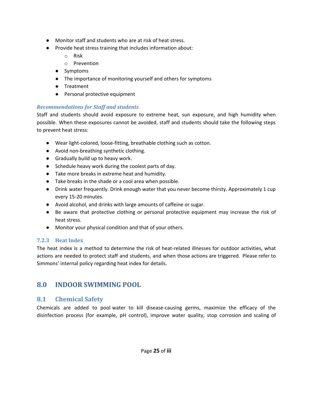- Monitor staff and students who are at risk of heat stress.
- Provide heat stress training that includes information about:
	- o Risk
	- o Prevention
	- Symptoms
	- The importance of monitoring yourself and others for symptoms
	- Treatment
	- Personal protective equipment

#### *Recommendations for Staff and students*

Staff and students should avoid exposure to extreme heat, sun exposure, and high humidity when possible. When these exposures cannot be avoided, staff and students should take the following steps to prevent heat stress:

- Wear light-colored, loose-fitting, breathable clothing such as cotton.
- Avoid non-breathing synthetic clothing.
- Gradually build up to heavy work.
- Schedule heavy work during the coolest parts of day.
- Take more breaks in extreme heat and humidity.
- Take breaks in the shade or a cool area when possible.
- Drink water frequently. Drink enough water that you never become thirsty. Approximately 1 cup every 15-20 minutes.
- Avoid alcohol, and drinks with large amounts of caffeine or sugar.
- Be aware that protective clothing or personal protective equipment may increase the risk of heat stress.
- Monitor your physical condition and that of your others.

### <span id="page-24-0"></span>**7.2.3 Heat Index**

The heat index is a method to determine the risk of heat-related illnesses for outdoor activities, what actions are needed to protect staff and students, and when those actions are triggered. Please refer to Simmons' internal policy regarding heat index for details.

# <span id="page-24-1"></span>**8.0 INDOOR SWIMMING POOL**

### <span id="page-24-2"></span>**8.1 Chemical Safety**

Chemicals are added to pool water to kill disease-causing germs, maximize the efficacy of the disinfection process (for example, pH control), improve water quality, stop corrosion and scaling of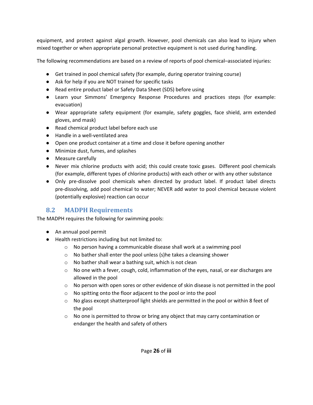equipment, and protect against algal growth. However, pool chemicals can also lead to injury when mixed together or when appropriate personal protective equipment is not used during handling.

The following recommendations are based on a review of reports of pool chemical–associated injuries:

- Get trained in pool chemical safety (for example, during operator training course)
- Ask for help if you are NOT trained for specific tasks
- Read entire product label or Safety Data Sheet (SDS) before using
- Learn your Simmons' Emergency Response Procedures and practices steps (for example: evacuation)
- Wear appropriate safety equipment (for example, safety goggles, face shield, arm extended gloves, and mask)
- Read chemical product label before each use
- Handle in a well-ventilated area
- Open one product container at a time and close it before opening another
- Minimize dust, fumes, and splashes
- Measure carefully
- Never mix chlorine products with acid; this could create toxic gases. Different pool chemicals (for example, different types of chlorine products) with each other or with any other substance
- Only pre-dissolve pool chemicals when directed by product label. If product label directs pre-dissolving, add pool chemical to water; NEVER add water to pool chemical because violent (potentially explosive) reaction can occur

### <span id="page-25-0"></span>**8.2 MADPH Requirements**

The MADPH requires the following for swimming pools:

- An annual pool permit
- Health restrictions including but not limited to:
	- o No person having a communicable disease shall work at a swimming pool
	- o No bather shall enter the pool unless (s)he takes a cleansing shower
	- o No bather shall wear a bathing suit, which is not clean
	- $\circ$  No one with a fever, cough, cold, inflammation of the eyes, nasal, or ear discharges are allowed in the pool
	- o No person with open sores or other evidence of skin disease is not permitted in the pool
	- o No spitting onto the floor adjacent to the pool or into the pool
	- $\circ$  No glass except shatterproof light shields are permitted in the pool or within 8 feet of the pool
	- $\circ$  No one is permitted to throw or bring any object that may carry contamination or endanger the health and safety of others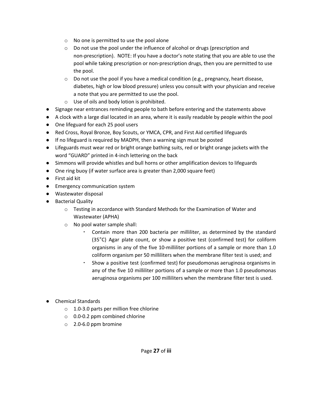- o No one is permitted to use the pool alone
- o Do not use the pool under the influence of alcohol or drugs (prescription and non-prescription). NOTE: If you have a doctor's note stating that you are able to use the pool while taking prescription or non-prescription drugs, then you are permitted to use the pool.
- $\circ$  Do not use the pool if you have a medical condition (e.g., pregnancy, heart disease, diabetes, high or low blood pressure) unless you consult with your physician and receive a note that you are permitted to use the pool.
- o Use of oils and body lotion is prohibited.
- Signage near entrances reminding people to bath before entering and the statements above
- A clock with a large dial located in an area, where it is easily readable by people within the pool
- One lifeguard for each 25 pool users
- Red Cross, Royal Bronze, Boy Scouts, or YMCA, CPR, and First Aid certified lifeguards
- If no lifeguard is required by MADPH, then a warning sign must be posted
- Lifeguards must wear red or bright orange bathing suits, red or bright orange jackets with the word "GUARD" printed in 4-inch lettering on the back
- Simmons will provide whistles and bull horns or other amplification devices to lifeguards
- One ring buoy (if water surface area is greater than 2,000 square feet)
- First aid kit
- Emergency communication system
- Wastewater disposal
- Bacterial Quality
	- $\circ$  Testing in accordance with Standard Methods for the Examination of Water and Wastewater (APHA)
	- o No pool water sample shall:
		- Contain more than 200 bacteria per milliliter, as determined by the standard (35°C) Agar plate count, or show a positive test (confirmed test) for coliform organisms in any of the five 10-milliliter portions of a sample or more than 1.0 coliform organism per 50 milliliters when the membrane filter test is used; and
		- Show a positive test (confirmed test) for pseudomonas aeruginosa organisms in any of the five 10 milliliter portions of a sample or more than 1.0 pseudomonas aeruginosa organisms per 100 milliliters when the membrane filter test is used.
- Chemical Standards
	- o 1.0-3.0 parts per million free chlorine
	- o 0.0-0.2 ppm combined chlorine
	- o 2.0-6.0 ppm bromine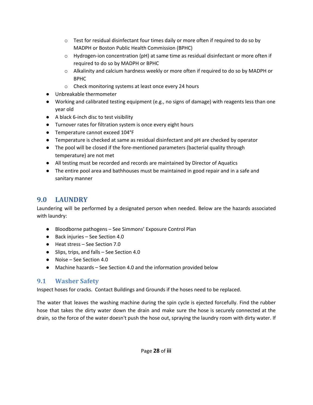- $\circ$  Test for residual disinfectant four times daily or more often if required to do so by MADPH or Boston Public Health Commission (BPHC)
- $\circ$  Hydrogen-ion concentration (pH) at same time as residual disinfectant or more often if required to do so by MADPH or BPHC
- $\circ$  Alkalinity and calcium hardness weekly or more often if required to do so by MADPH or BPHC
- o Check monitoring systems at least once every 24 hours
- Unbreakable thermometer
- Working and calibrated testing equipment (e.g., no signs of damage) with reagents less than one year old
- A black 6-inch disc to test visibility
- Turnover rates for filtration system is once every eight hours
- Temperature cannot exceed 104°F
- Temperature is checked at same as residual disinfectant and pH are checked by operator
- The pool will be closed if the fore-mentioned parameters (bacterial quality through temperature) are not met
- **●** All testing must be recorded and records are maintained by Director of Aquatics
- The entire pool area and bathhouses must be maintained in good repair and in a safe and sanitary manner

# <span id="page-27-0"></span>**9.0 LAUNDRY**

Laundering will be performed by a designated person when needed. Below are the hazards associated with laundry:

- Bloodborne pathogens See Simmons' Exposure Control Plan
- Back injuries See Section 4.0
- Heat stress See Section 7.0
- Slips, trips, and falls See Section 4.0
- Noise See Section 4.0
- Machine hazards See Section 4.0 and the information provided below

### <span id="page-27-1"></span>**9.1 Washer Safety**

Inspect hoses for cracks. Contact Buildings and Grounds if the hoses need to be replaced.

The water that leaves the washing machine during the spin cycle is ejected forcefully. Find the rubber hose that takes the dirty water down the drain and make sure the hose is securely connected at the drain, so the force of the water doesn't push the hose out, spraying the laundry room with dirty water. If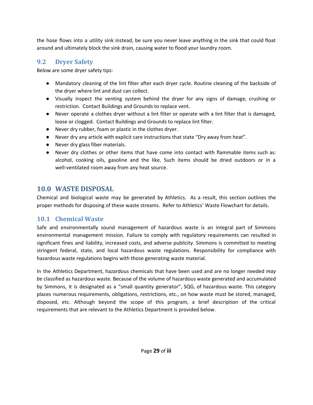the hose flows into a utility sink instead, be sure you never leave anything in the sink that could float around and ultimately block the sink drain, causing water to flood your laundry room.

### <span id="page-28-0"></span>**9.2 Dryer Safety**

Below are some dryer safety tips:

- Mandatory cleaning of the lint filter after each dryer cycle. Routine cleaning of the backside of the dryer where lint and dust can collect.
- Visually inspect the venting system behind the dryer for any signs of damage, crushing or restriction. Contact Buildings and Grounds to replace vent.
- Never operate a clothes dryer without a lint filter or operate with a lint filter that is damaged, loose or clogged. Contact Buildings and Grounds to replace lint filter.
- Never dry rubber, foam or plastic in the clothes dryer.
- Never dry any article with explicit care instructions that state "Dry away from heat".
- Never dry glass fiber materials.
- Never dry clothes or other items that have come into contact with flammable items such as: alcohol, cooking oils, gasoline and the like. Such items should be dried outdoors or in a well-ventilated room away from any heat source.

### <span id="page-28-1"></span>**10.0 WASTE DISPOSAL**

Chemical and biological waste may be generated by Athletics. As a result, this section outlines the proper methods for disposing of these waste streams. Refer to Athletics' Waste Flowchart for details.

### <span id="page-28-2"></span>**10.1 Chemical Waste**

Safe and environmentally sound management of hazardous waste is an integral part of Simmons environmental management mission. Failure to comply with regulatory requirements can resulted in significant fines and liability, increased costs, and adverse publicity. Simmons is committed to meeting stringent federal, state, and local hazardous waste regulations. Responsibility for compliance with hazardous waste regulations begins with those generating waste material.

In the Athletics Department, hazardous chemicals that have been used and are no longer needed *may be* classified as hazardous waste. Because of the volume of hazardous waste generated and accumulated by Simmons, it is designated as a "small quantity generator", SQG, of hazardous waste. This category places numerous requirements, obligations, restrictions, etc., on how waste must be stored, managed, disposed, etc. Although beyond the scope of this program, a brief description of the critical requirements that are relevant to the Athletics Department is provided below.